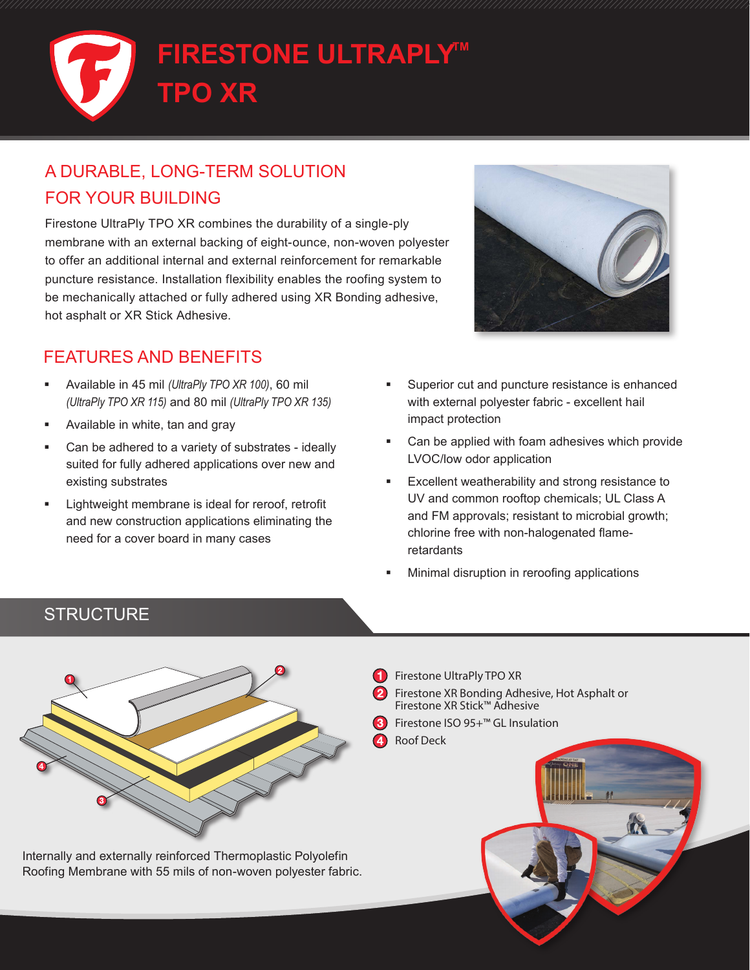

## A DURABLE, LONG-TERM SOLUTION FOR YOUR BUILDING

Firestone UltraPly TPO XR combines the durability of a single-ply membrane with an external backing of eight-ounce, non-woven polyester to offer an additional internal and external reinforcement for remarkable puncture resistance. Installation flexibility enables the roofing system to be mechanically attached or fully adhered using XR Bonding adhesive, hot asphalt or XR Stick Adhesive.

## FEATURES AND BENEFITS

- Available in 45 mil *(UltraPly TPO XR 100)*, 60 mil *(UltraPly TPO XR 115)* and 80 mil *(UltraPly TPO XR 135)*
- Available in white, tan and gray
- Can be adhered to a variety of substrates ideally suited for fully adhered applications over new and existing substrates
- Lightweight membrane is ideal for reroof, retrofit and new construction applications eliminating the need for a cover board in many cases



- Superior cut and puncture resistance is enhanced with external polyester fabric - excellent hail impact protection
- Can be applied with foam adhesives which provide LVOC/low odor application
- Excellent weatherability and strong resistance to UV and common rooftop chemicals; UL Class A and FM approvals; resistant to microbial growth; chlorine free with non-halogenated flameretardants
- Minimal disruption in reroofing applications

## **STRUCTURE**



Internally and externally reinforced Thermoplastic Polyolefin Roofing Membrane with 55 mils of non-woven polyester fabric. Filestrially and externally i  $\mathcal{F}_{\mathcal{F}}$  , we have  $\mathcal{F}_{\mathcal{F}}$ 

- Firestone UltraPly TPO XR
- Firestone XR Bonding Adhesive, Hot Asphalt or Firestone XR Stick™ Adhesive
- Firestone ISO 95+™ GL Insulation
- Roof Deck